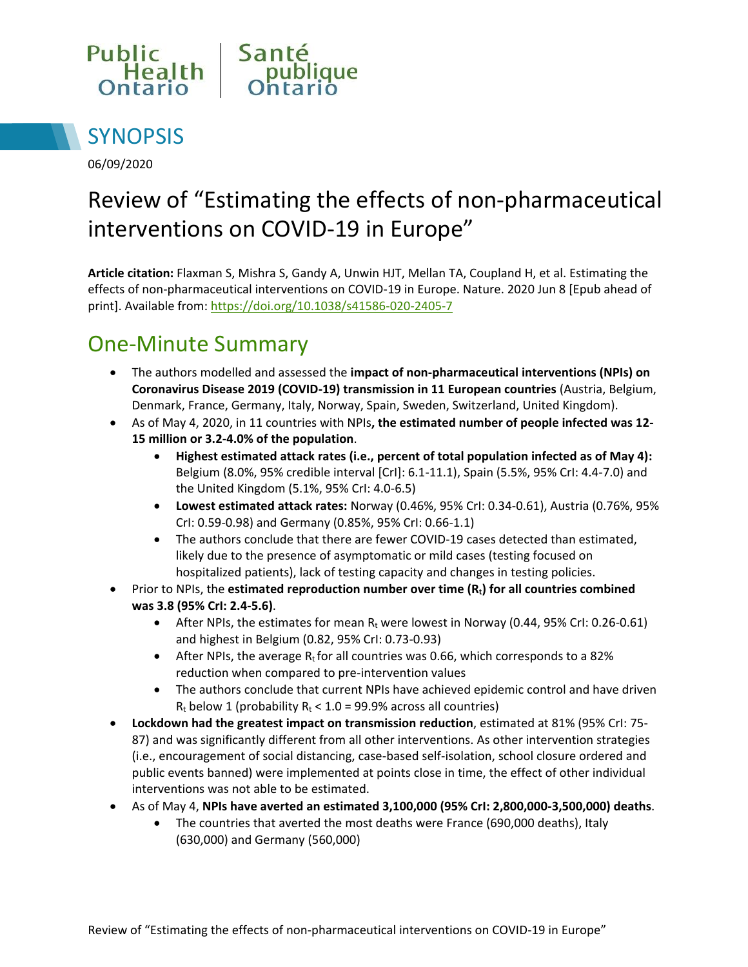



06/09/2020

# Review of "Estimating the effects of non-pharmaceutical interventions on COVID-19 in Europe"

**Article citation:** Flaxman S, Mishra S, Gandy A, Unwin HJT, Mellan TA, Coupland H, et al. Estimating the effects of non-pharmaceutical interventions on COVID-19 in Europe. Nature. 2020 Jun 8 [Epub ahead of print]. Available from[: https://doi.org/10.1038/s41586-020-2405-7](https://doi.org/10.1038/s41586-020-2405-7)

### One-Minute Summary

- The authors modelled and assessed the **impact of non-pharmaceutical interventions (NPIs) on Coronavirus Disease 2019 (COVID-19) transmission in 11 European countries** (Austria, Belgium, Denmark, France, Germany, Italy, Norway, Spain, Sweden, Switzerland, United Kingdom).
- As of May 4, 2020, in 11 countries with NPIs**, the estimated number of people infected was 12- 15 million or 3.2-4.0% of the population**.
	- **Highest estimated attack rates (i.e., percent of total population infected as of May 4):** Belgium (8.0%, 95% credible interval [CrI]: 6.1-11.1), Spain (5.5%, 95% CrI: 4.4-7.0) and the United Kingdom (5.1%, 95% CrI: 4.0-6.5)
	- **Lowest estimated attack rates:** Norway (0.46%, 95% CrI: 0.34-0.61), Austria (0.76%, 95% CrI: 0.59-0.98) and Germany (0.85%, 95% CrI: 0.66-1.1)
	- The authors conclude that there are fewer COVID-19 cases detected than estimated, likely due to the presence of asymptomatic or mild cases (testing focused on hospitalized patients), lack of testing capacity and changes in testing policies.
- Prior to NPIs, the **estimated reproduction number over time (Rt) for all countries combined was 3.8 (95% CrI: 2.4-5.6)**.
	- After NPIs, the estimates for mean  $R_t$  were lowest in Norway (0.44, 95% CrI: 0.26-0.61) and highest in Belgium (0.82, 95% CrI: 0.73-0.93)
	- After NPIs, the average  $R_t$  for all countries was 0.66, which corresponds to a 82% reduction when compared to pre-intervention values
	- The authors conclude that current NPIs have achieved epidemic control and have driven  $R_t$  below 1 (probability  $R_t < 1.0 = 99.9\%$  across all countries)
- **Lockdown had the greatest impact on transmission reduction**, estimated at 81% (95% CrI: 75- 87) and was significantly different from all other interventions. As other intervention strategies (i.e., encouragement of social distancing, case-based self-isolation, school closure ordered and public events banned) were implemented at points close in time, the effect of other individual interventions was not able to be estimated.
- As of May 4, **NPIs have averted an estimated 3,100,000 (95% CrI: 2,800,000-3,500,000) deaths**.
	- The countries that averted the most deaths were France (690,000 deaths), Italy (630,000) and Germany (560,000)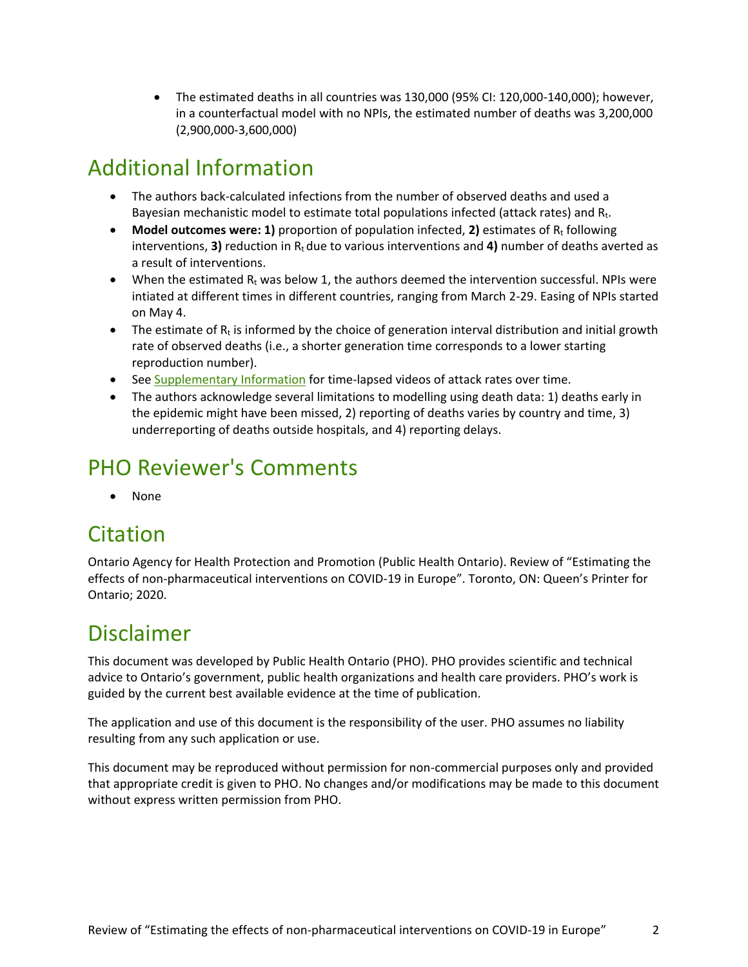The estimated deaths in all countries was 130,000 (95% CI: 120,000-140,000); however, in a counterfactual model with no NPIs, the estimated number of deaths was 3,200,000 (2,900,000-3,600,000)

## Additional Information

- The authors back-calculated infections from the number of observed deaths and used a Bayesian mechanistic model to estimate total populations infected (attack rates) and  $R_t$ .
- Model outcomes were: 1) proportion of population infected, 2) estimates of  $R_t$  following interventions, **3)** reduction in  $R_t$  due to various interventions and **4)** number of deaths averted as a result of interventions.
- $\bullet$  When the estimated R<sub>t</sub> was below 1, the authors deemed the intervention successful. NPIs were intiated at different times in different countries, ranging from March 2-29. Easing of NPIs started on May 4.
- The estimate of  $R_t$  is informed by the choice of generation interval distribution and initial growth rate of observed deaths (i.e., a shorter generation time corresponds to a lower starting reproduction number).
- See [Supplementary Information f](https://www.nature.com/articles/s41586-020-2405-7#Sec11)or time-lapsed videos of attack rates over time.
- The authors acknowledge several limitations to modelling using death data: 1) deaths early in the epidemic might have been missed, 2) reporting of deaths varies by country and time, 3) underreporting of deaths outside hospitals, and 4) reporting delays.

### PHO Reviewer's Comments

• None

### **Citation**

Ontario Agency for Health Protection and Promotion (Public Health Ontario). Review of "Estimating the effects of non-pharmaceutical interventions on COVID-19 in Europe". Toronto, ON: Queen's Printer for Ontario; 2020.

#### Disclaimer

This document was developed by Public Health Ontario (PHO). PHO provides scientific and technical advice to Ontario's government, public health organizations and health care providers. PHO's work is guided by the current best available evidence at the time of publication.

The application and use of this document is the responsibility of the user. PHO assumes no liability resulting from any such application or use.

This document may be reproduced without permission for non-commercial purposes only and provided that appropriate credit is given to PHO. No changes and/or modifications may be made to this document without express written permission from PHO.